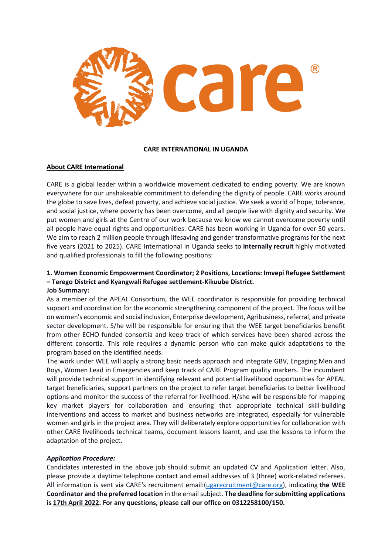

#### **CARE INTERNATIONAL IN UGANDA**

### **About CARE International**

CARE is a global leader within a worldwide movement dedicated to ending poverty. We are known everywhere for our unshakeable commitment to defending the dignity of people. CARE works around the globe to save lives, defeat poverty, and achieve social justice. We seek a world of hope, tolerance, and social justice, where poverty has been overcome, and all people live with dignity and security. We put women and girls at the Centre of our work because we know we cannot overcome poverty until all people have equal rights and opportunities. CARE has been working in Uganda for over 50 years. We aim to reach 2 million people through lifesaving and gender transformative programs for the next five years (2021 to 2025). CARE International in Uganda seeks to **internally recruit** highly motivated and qualified professionals to fill the following positions:

# **1. Women Economic Empowerment Coordinator; 2 Positions, Locations: Imvepi Refugee Settlement – Terego District and Kyangwali Refugee settlement-Kikuube District.**

### **Job Summary:**

As a member of the APEAL Consortium, the WEE coordinator is responsible for providing technical support and coordination for the economic strengthening component of the project. The focus will be on women's economic and social inclusion, Enterprise development, Agribusiness, referral, and private sector development. S/he will be responsible for ensuring that the WEE target beneficiaries benefit from other ECHO funded consortia and keep track of which services have been shared across the different consortia. This role requires a dynamic person who can make quick adaptations to the program based on the identified needs.

The work under WEE will apply a strong basic needs approach and integrate GBV, Engaging Men and Boys, Women Lead in Emergencies and keep track of CARE Program quality markers. The incumbent will provide technical support in identifying relevant and potential livelihood opportunities for APEAL target beneficiaries, support partners on the project to refer target beneficiaries to better livelihood options and monitor the success of the referral for livelihood. H/she will be responsible for mapping key market players for collaboration and ensuring that appropriate technical skill-building interventions and access to market and business networks are integrated, especially for vulnerable women and girls in the project area. They will deliberately explore opportunities for collaboration with other CARE livelihoods technical teams, document lessons learnt, and use the lessons to inform the adaptation of the project.

### *Application Procedure:*

Candidates interested in the above job should submit an updated CV and Application letter. Also, please provide a daytime telephone contact and email addresses of 3 (three) work-related referees. All information is sent via CARE's recruitment email:[\(ugarecruitment@care.org\)](mailto:ugarecruitment@care.org), indicating **the WEE Coordinator and the preferred location** in the email subject. **The deadline for submitting applications is 17th April 2022. For any questions, please call our office on 0312258100/150.**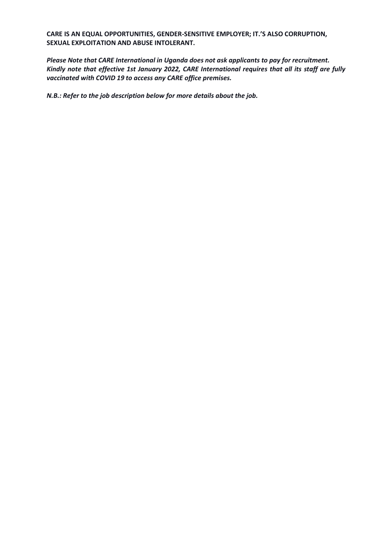**CARE IS AN EQUAL OPPORTUNITIES, GENDER-SENSITIVE EMPLOYER; IT.'S ALSO CORRUPTION, SEXUAL EXPLOITATION AND ABUSE INTOLERANT.**

*Please Note that CARE International in Uganda does not ask applicants to pay for recruitment. Kindly note that effective 1st January 2022, CARE International requires that all its staff are fully vaccinated with COVID 19 to access any CARE office premises.*

*N.B.: Refer to the job description below for more details about the job.*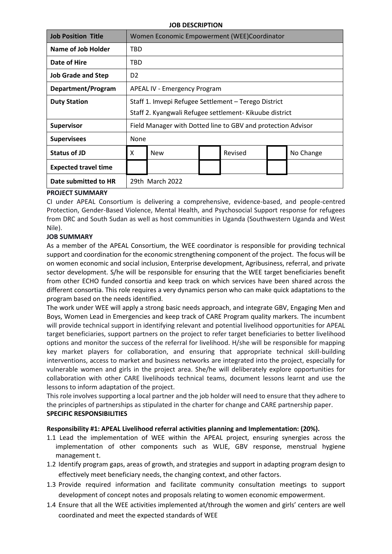#### **JOB DESCRIPTION**

| <b>Job Position Title</b>   | Women Economic Empowerment (WEE)Coordinator                  |            |  |         |  |           |
|-----------------------------|--------------------------------------------------------------|------------|--|---------|--|-----------|
| Name of Job Holder          | TBD                                                          |            |  |         |  |           |
| Date of Hire                | TBD                                                          |            |  |         |  |           |
| <b>Job Grade and Step</b>   | D <sub>2</sub>                                               |            |  |         |  |           |
| Department/Program          | <b>APEAL IV - Emergency Program</b>                          |            |  |         |  |           |
| <b>Duty Station</b>         | Staff 1. Imvepi Refugee Settlement - Terego District         |            |  |         |  |           |
|                             | Staff 2. Kyangwali Refugee settlement- Kikuube district      |            |  |         |  |           |
| Supervisor                  | Field Manager with Dotted line to GBV and protection Advisor |            |  |         |  |           |
| <b>Supervisees</b>          | None                                                         |            |  |         |  |           |
| <b>Status of JD</b>         | X                                                            | <b>New</b> |  | Revised |  | No Change |
| <b>Expected travel time</b> |                                                              |            |  |         |  |           |
| Date submitted to HR        | 29th March 2022                                              |            |  |         |  |           |

### **PROJECT SUMMARY**

CI under APEAL Consortium is delivering a comprehensive, evidence-based, and people-centred Protection, Gender-Based Violence, Mental Health, and Psychosocial Support response for refugees from DRC and South Sudan as well as host communities in Uganda (Southwestern Uganda and West Nile).

## **JOB SUMMARY**

As a member of the APEAL Consortium, the WEE coordinator is responsible for providing technical support and coordination for the economic strengthening component of the project. The focus will be on women economic and social inclusion, Enterprise development, Agribusiness, referral, and private sector development. S/he will be responsible for ensuring that the WEE target beneficiaries benefit from other ECHO funded consortia and keep track on which services have been shared across the different consortia. This role requires a very dynamics person who can make quick adaptations to the program based on the needs identified.

The work under WEE will apply a strong basic needs approach, and integrate GBV, Engaging Men and Boys, Women Lead in Emergencies and keep track of CARE Program quality markers. The incumbent will provide technical support in identifying relevant and potential livelihood opportunities for APEAL target beneficiaries, support partners on the project to refer target beneficiaries to better livelihood options and monitor the success of the referral for livelihood. H/she will be responsible for mapping key market players for collaboration, and ensuring that appropriate technical skill-building interventions, access to market and business networks are integrated into the project, especially for vulnerable women and girls in the project area. She/he will deliberately explore opportunities for collaboration with other CARE livelihoods technical teams, document lessons learnt and use the lessons to inform adaptation of the project.

This role involves supporting a local partner and the job holder will need to ensure that they adhere to the principles of partnerships as stipulated in the charter for change and CARE partnership paper. **SPECIFIC RESPONSIBILITIES**

### **Responsibility #1: APEAL Livelihood referral activities planning and Implementation: (20%).**

- 1.1 Lead the implementation of WEE within the APEAL project, ensuring synergies across the implementation of other components such as WLIE, GBV response, menstrual hygiene management t.
- 1.2 Identify program gaps, areas of growth, and strategies and support in adapting program design to effectively meet beneficiary needs, the changing context, and other factors.
- 1.3 Provide required information and facilitate community consultation meetings to support development of concept notes and proposals relating to women economic empowerment.
- 1.4 Ensure that all the WEE activities implemented at/through the women and girls' centers are well coordinated and meet the expected standards of WEE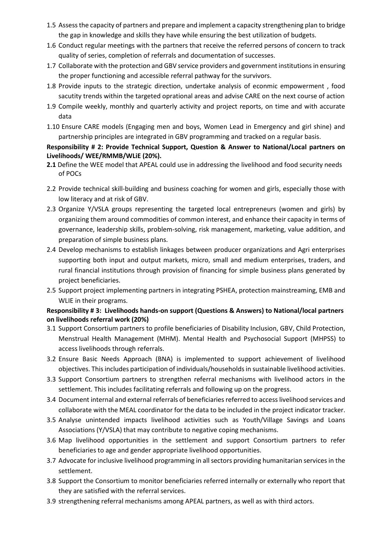- 1.5 Assess the capacity of partners and prepare and implement a capacity strengthening plan to bridge the gap in knowledge and skills they have while ensuring the best utilization of budgets.
- 1.6 Conduct regular meetings with the partners that receive the referred persons of concern to track quality of series, completion of referrals and documentation of successes.
- 1.7 Collaborate with the protection and GBV service providers and government institutions in ensuring the proper functioning and accessible referral pathway for the survivors.
- 1.8 Provide inputs to the strategic direction, undertake analysis of econmic empowerment , food sacutity trends within the targeted oprational areas and advise CARE on the next course of action
- 1.9 Compile weekly, monthly and quarterly activity and project reports, on time and with accurate data
- 1.10 Ensure CARE models (Engaging men and boys, Women Lead in Emergency and girl shine) and partnership principles are integrated in GBV programming and tracked on a regular basis.

# **Responsibility # 2: Provide Technical Support, Question & Answer to National/Local partners on Livelihoods/ WEE/RMMB/WLiE (20%).**

- **2.1** Define the WEE model that APEAL could use in addressing the livelihood and food security needs of POCs
- 2.2 Provide technical skill-building and business coaching for women and girls, especially those with low literacy and at risk of GBV.
- 2.3 Organize Y/VSLA groups representing the targeted local entrepreneurs (women and girls) by organizing them around commodities of common interest, and enhance their capacity in terms of governance, leadership skills, problem-solving, risk management, marketing, value addition, and preparation of simple business plans.
- 2.4 Develop mechanisms to establish linkages between producer organizations and Agri enterprises supporting both input and output markets, micro, small and medium enterprises, traders, and rural financial institutions through provision of financing for simple business plans generated by project beneficiaries.
- 2.5 Support project implementing partners in integrating PSHEA, protection mainstreaming, EMB and WLIE in their programs.

## **Responsibility # 3: Livelihoods hands-on support (Questions & Answers) to National/local partners on livelihoods referral work (20%)**

- 3.1 Support Consortium partners to profile beneficiaries of Disability Inclusion, GBV, Child Protection, Menstrual Health Management (MHM). Mental Health and Psychosocial Support (MHPSS) to access livelihoods through referrals.
- 3.2 Ensure Basic Needs Approach (BNA) is implemented to support achievement of livelihood objectives. This includes participation of individuals/households in sustainable livelihood activities.
- 3.3 Support Consortium partners to strengthen referral mechanisms with livelihood actors in the settlement. This includes facilitating referrals and following up on the progress.
- 3.4 Document internal and external referrals of beneficiaries referred to access livelihood services and collaborate with the MEAL coordinator for the data to be included in the project indicator tracker.
- 3.5 Analyse unintended impacts livelihood activities such as Youth/Village Savings and Loans Associations (Y/VSLA) that may contribute to negative coping mechanisms.
- 3.6 Map livelihood opportunities in the settlement and support Consortium partners to refer beneficiaries to age and gender appropriate livelihood opportunities.
- 3.7 Advocate for inclusive livelihood programming in all sectors providing humanitarian services in the settlement.
- 3.8 Support the Consortium to monitor beneficiaries referred internally or externally who report that they are satisfied with the referral services.
- 3.9 strengthening referral mechanisms among APEAL partners, as well as with third actors.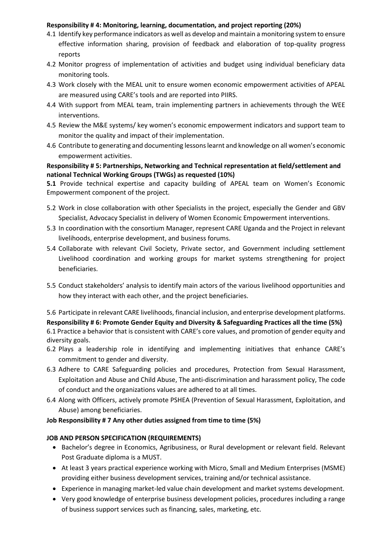## **Responsibility # 4: Monitoring, learning, documentation, and project reporting (20%)**

- 4.1 Identify key performance indicators as well as develop and maintain a monitoring system to ensure effective information sharing, provision of feedback and elaboration of top-quality progress reports
- 4.2 Monitor progress of implementation of activities and budget using individual beneficiary data monitoring tools.
- 4.3 Work closely with the MEAL unit to ensure women economic empowerment activities of APEAL are measured using CARE's tools and are reported into PIIRS.
- 4.4 With support from MEAL team, train implementing partners in achievements through the WEE interventions.
- 4.5 Review the M&E systems/ key women's economic empowerment indicators and support team to monitor the quality and impact of their implementation.
- 4.6 Contribute to generating and documenting lessons learnt and knowledge on all women's economic empowerment activities.

## **Responsibility # 5: Partnerships, Networking and Technical representation at field/settlement and national Technical Working Groups (TWGs) as requested (10%)**

**5.1** Provide technical expertise and capacity building of APEAL team on Women's Economic Empowerment component of the project.

- 5.2 Work in close collaboration with other Specialists in the project, especially the Gender and GBV Specialist, Advocacy Specialist in delivery of Women Economic Empowerment interventions.
- 5.3 In coordination with the consortium Manager, represent CARE Uganda and the Project in relevant livelihoods, enterprise development, and business forums.
- 5.4 Collaborate with relevant Civil Society, Private sector, and Government including settlement Livelihood coordination and working groups for market systems strengthening for project beneficiaries.
- 5.5 Conduct stakeholders' analysis to identify main actors of the various livelihood opportunities and how they interact with each other, and the project beneficiaries.

5.6 Participate in relevant CARE livelihoods, financial inclusion, and enterprise development platforms.

**Responsibility # 6: Promote Gender Equity and Diversity & Safeguarding Practices all the time (5%)** 6.1 Practice a behavior that is consistent with CARE's core values, and promotion of gender equity and diversity goals.

- 6.2 Plays a leadership role in identifying and implementing initiatives that enhance CARE's commitment to gender and diversity.
- 6.3 Adhere to CARE Safeguarding policies and procedures, Protection from Sexual Harassment, Exploitation and Abuse and Child Abuse, The anti-discrimination and harassment policy, The code of conduct and the organizations values are adhered to at all times.
- 6.4 Along with Officers, actively promote PSHEA (Prevention of Sexual Harassment, Exploitation, and Abuse) among beneficiaries.

## **Job Responsibility # 7 Any other duties assigned from time to time (5%)**

## **JOB AND PERSON SPECIFICATION (REQUIREMENTS)**

- Bachelor's degree in Economics, Agribusiness, or Rural development or relevant field. Relevant Post Graduate diploma is a MUST.
- At least 3 years practical experience working with Micro, Small and Medium Enterprises (MSME) providing either business development services, training and/or technical assistance.
- Experience in managing market-led value chain development and market systems development.
- Very good knowledge of enterprise business development policies, procedures including a range of business support services such as financing, sales, marketing, etc.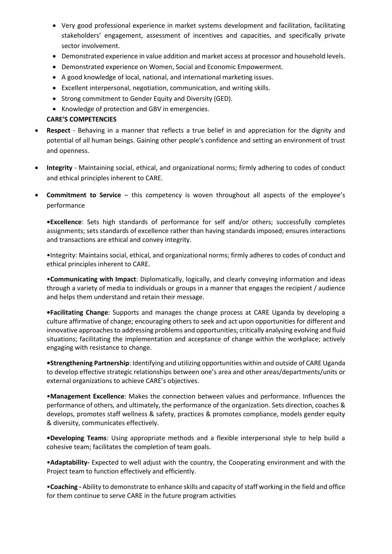- Very good professional experience in market systems development and facilitation, facilitating stakeholders' engagement, assessment of incentives and capacities, and specifically private sector involvement.
- Demonstrated experience in value addition and market access at processor and household levels.
- Demonstrated experience on Women, Social and Economic Empowerment.
- A good knowledge of local, national, and international marketing issues.
- Excellent interpersonal, negotiation, communication, and writing skills.
- Strong commitment to Gender Equity and Diversity (GED).
- Knowledge of protection and GBV in emergencies.

## **CARE'S COMPETENCIES**

- **Respect**  Behaving in a manner that reflects a true belief in and appreciation for the dignity and potential of all human beings. Gaining other people's confidence and setting an environment of trust and openness.
- **Integrity** Maintaining social, ethical, and organizational norms; firmly adhering to codes of conduct and ethical principles inherent to CARE.
- **Commitment to Service** this competency is woven throughout all aspects of the employee's performance

**•Excellence**: Sets high standards of performance for self and/or others; successfully completes assignments; sets standards of excellence rather than having standards imposed; ensures interactions and transactions are ethical and convey integrity.

•Integrity: Maintains social, ethical, and organizational norms; firmly adheres to codes of conduct and ethical principles inherent to CARE.

•**Communicating with Impact**: Diplomatically, logically, and clearly conveying information and ideas through a variety of media to individuals or groups in a manner that engages the recipient / audience and helps them understand and retain their message.

**•Facilitating Change**: Supports and manages the change process at CARE Uganda by developing a culture affirmative of change; encouraging others to seek and act upon opportunities for different and innovative approaches to addressing problems and opportunities; critically analysing evolving and fluid situations; facilitating the implementation and acceptance of change within the workplace; actively engaging with resistance to change.

**•Strengthening Partnership**: Identifying and utilizing opportunities within and outside of CARE Uganda to develop effective strategic relationships between one's area and other areas/departments/units or external organizations to achieve CARE's objectives.

•**Management Excellence**: Makes the connection between values and performance. Influences the performance of others, and ultimately, the performance of the organization. Sets direction, coaches & develops, promotes staff wellness & safety, practices & promotes compliance, models gender equity & diversity, communicates effectively.

**•Developing Teams**: Using appropriate methods and a flexible interpersonal style to help build a cohesive team; facilitates the completion of team goals.

•**Adaptability-** Expected to well adjust with the country, the Cooperating environment and with the Project team to function effectively and efficiently.

•**Coaching -** Ability to demonstrate to enhance skills and capacity of staff working in the field and office for them continue to serve CARE in the future program activities